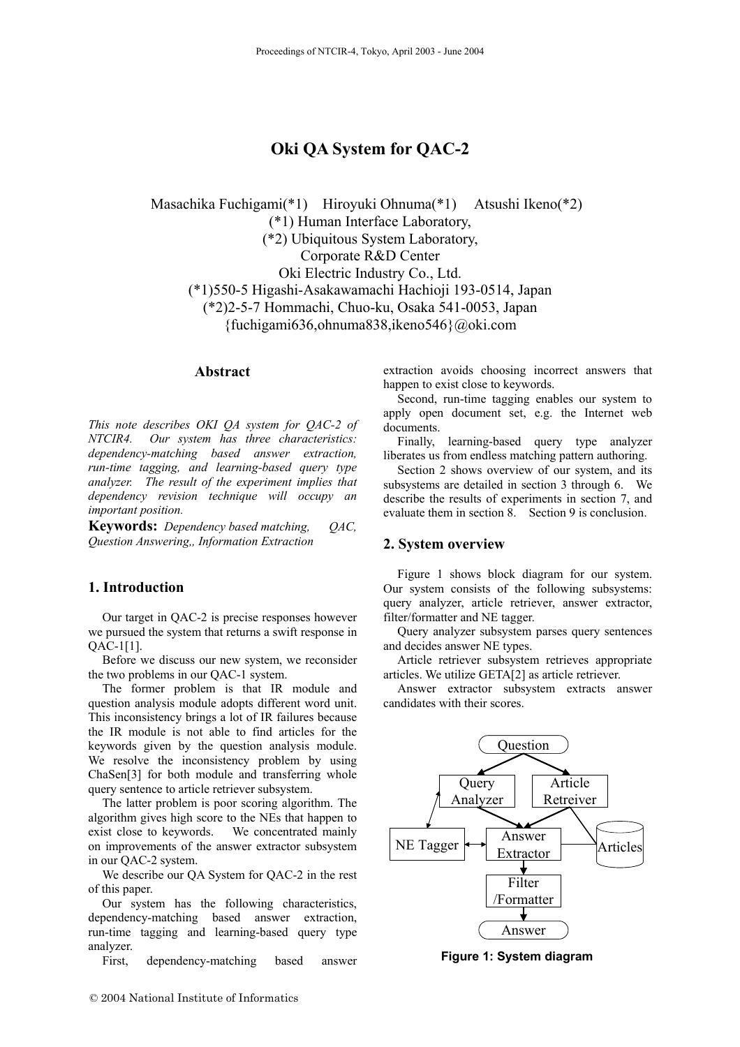# **Oki QA System for QAC-2**

 Masachika Fuchigami(\*1) Hiroyuki Ohnuma(\*1) Atsushi Ikeno(\*2) (\*1) Human Interface Laboratory, (\*2) Ubiquitous System Laboratory, Corporate R&D Center Oki Electric Industry Co., Ltd. (\*1)550-5 Higashi-Asakawamachi Hachioji 193-0514, Japan (\*2)2-5-7 Hommachi, Chuo-ku, Osaka 541-0053, Japan {fuchigami636,ohnuma838,ikeno546}@oki.com

# **Abstract**

*This note describes OKI QA system for QAC-2 of NTCIR4. Our system has three characteristics: dependency-matching based answer extraction, run-time tagging, and learning-based query type analyzer. The result of the experiment implies that dependency revision technique will occupy an important position.*

**Keywords:** *Dependency based matching, QAC, Question Answering,, Information Extraction* 

### **1. Introduction**

Our target in QAC-2 is precise responses however we pursued the system that returns a swift response in QAC-[1\[1\].](#page-6-0)

Before we discuss our new system, we reconsider the two problems in our QAC-1 system.

The former problem is that IR module and question analysis module adopts different word unit. This inconsistency brings a lot of IR failures because the IR module is not able to find articles for the keywords given by the question analysis module. We resolve the inconsistency problem by using ChaSe[n\[3\]](#page-6-1) for both module and transferring whole query sentence to article retriever subsystem.

The latter problem is poor scoring algorithm. The algorithm gives high score to the NEs that happen to exist close to keywords. We concentrated mainly on improvements of the answer extractor subsystem in our QAC-2 system.

We describe our QA System for QAC-2 in the rest of this paper.

Our system has the following characteristics, dependency-matching based answer extraction, run-time tagging and learning-based query type analyzer.

First, dependency-matching based answer

extraction avoids choosing incorrect answers that happen to exist close to keywords.

Second, run-time tagging enables our system to apply open document set, e.g. the Internet web documents.

Finally, learning-based query type analyzer liberates us from endless matching pattern authoring.

Section 2 shows overview of our system, and its subsystems are detailed in section 3 through 6. We describe the results of experiments in section 7, and evaluate them in section 8. Section 9 is conclusion.

### **2. System overview**

Figure 1 shows block diagram for our system. Our system consists of the following subsystems: query analyzer, article retriever, answer extractor, filter/formatter and NE tagger.

Query analyzer subsystem parses query sentences and decides answer NE types.

Article retriever subsystem retrieves appropriate articles. We utilize GETA[\[2\]](#page-6-2) as article retriever.

Answer extractor subsystem extracts answer candidates with their scores.



**Figure 1: System diagram**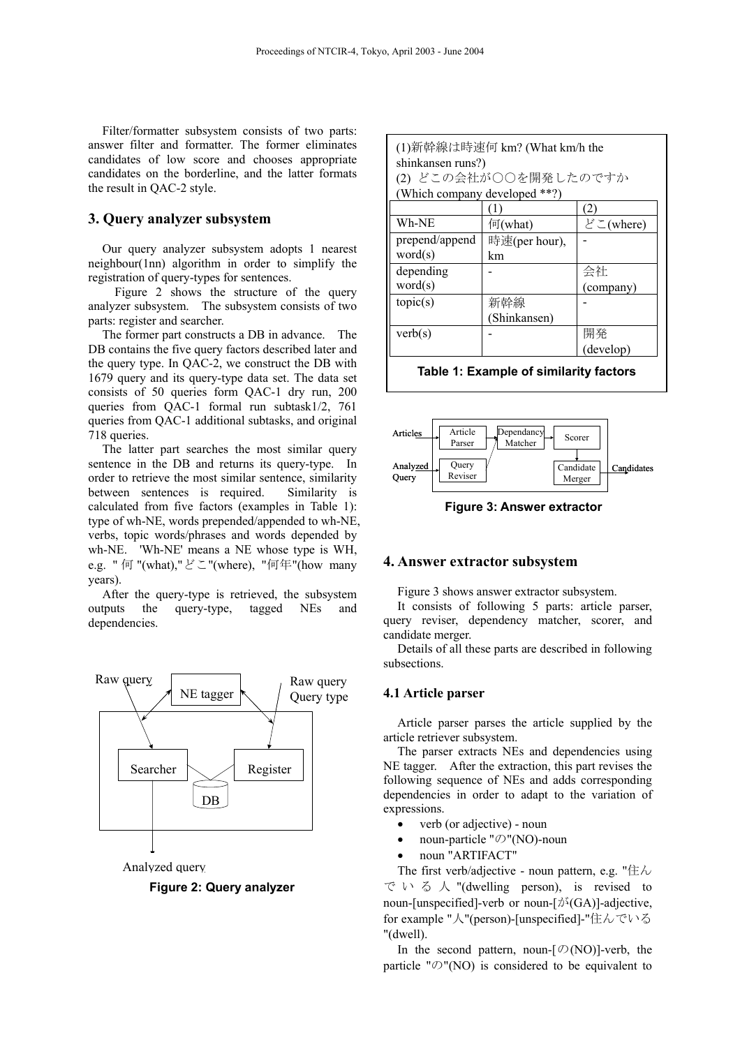Filter/formatter subsystem consists of two parts: answer filter and formatter. The former eliminates candidates of low score and chooses appropriate candidates on the borderline, and the latter formats the result in QAC-2 style.

# **3. Query analyzer subsystem**

Our query analyzer subsystem adopts 1 nearest neighbour(1nn) algorithm in order to simplify the registration of query-types for sentences.

Figure 2 shows the structure of the query analyzer subsystem. The subsystem consists of two parts: register and searcher.

The former part constructs a DB in advance. The DB contains the five query factors described later and the query type. In QAC-2, we construct the DB with 1679 query and its query-type data set. The data set consists of 50 queries form QAC-1 dry run, 200 queries from QAC-1 formal run subtask1/2, 761 queries from QAC-1 additional subtasks, and original 718 queries. Article

The latter part searches the most similar query sentence in the DB and returns its query-type. In order to retrieve the most similar sentence, similarity between sentences is required. Similarity is calculated from five factors (examples in Table 1): type of wh-NE, words prepended/appended to wh-NE, verbs, topic words/phrases and words depended by wh-NE. 'Wh-NE' means a NE whose type is WH, e.g. " 何 "(what),"どこ"(where), "何年"(how many years).

After the query-type is retrieved, the subsystem outputs the query-type, tagged NEs and dependencies.



Analyzed query

**Figure 2: Query analyzer**

| (1)新幹線は時速何 km? (What km/h the |                      |           |
|-------------------------------|----------------------|-----------|
| shinkansen runs?)             |                      |           |
| (2) どこの会社が○○を開発したのですか         |                      |           |
| (Which company developed **?) |                      |           |
|                               |                      | (2)       |
| Wh-NE                         | $\sqrt{\eta}$ (what) | どこ(where) |
| prepend/append                | 時速(per hour),        |           |
| word(s)                       | km                   |           |
| depending                     |                      | 会社        |
| word(s)                       |                      | (company) |
| topic(s)                      | 新幹線                  |           |
|                               | (Shinkansen)         |           |
| verb(s)                       |                      | 開発        |
|                               |                      | (develop) |
|                               |                      |           |

#### **Table 1: Example of similarity factors**



**Figure 3: Answer extractor** 

#### **4. Answer extractor subsystem**

Figure 3 shows answer extractor subsystem.

It consists of following 5 parts: article parser, query reviser, dependency matcher, scorer, and candidate merger.

Details of all these parts are described in following subsections.

#### **4.1 Article parser**

Article parser parses the article supplied by the article retriever subsystem.

The parser extracts NEs and dependencies using NE tagger. After the extraction, this part revises the following sequence of NEs and adds corresponding dependencies in order to adapt to the variation of expressions.

- verb (or adjective) noun
- noun-particle "の"(NO)-noun
- noun "ARTIFACT"

The first verb/adjective - noun pattern, e.g. "住ん でいる 人 "(dwelling person), is revised to noun-[unspecified]-verb or noun- $[\phi^{\lambda}(GA)]$ -adjective, for example "人"(person)-[unspecified]-"住んでいる "(dwell).

In the second pattern, noun- $[Ø(NO)]$ -verb, the particle " $\mathcal{O}$ "(NO) is considered to be equivalent to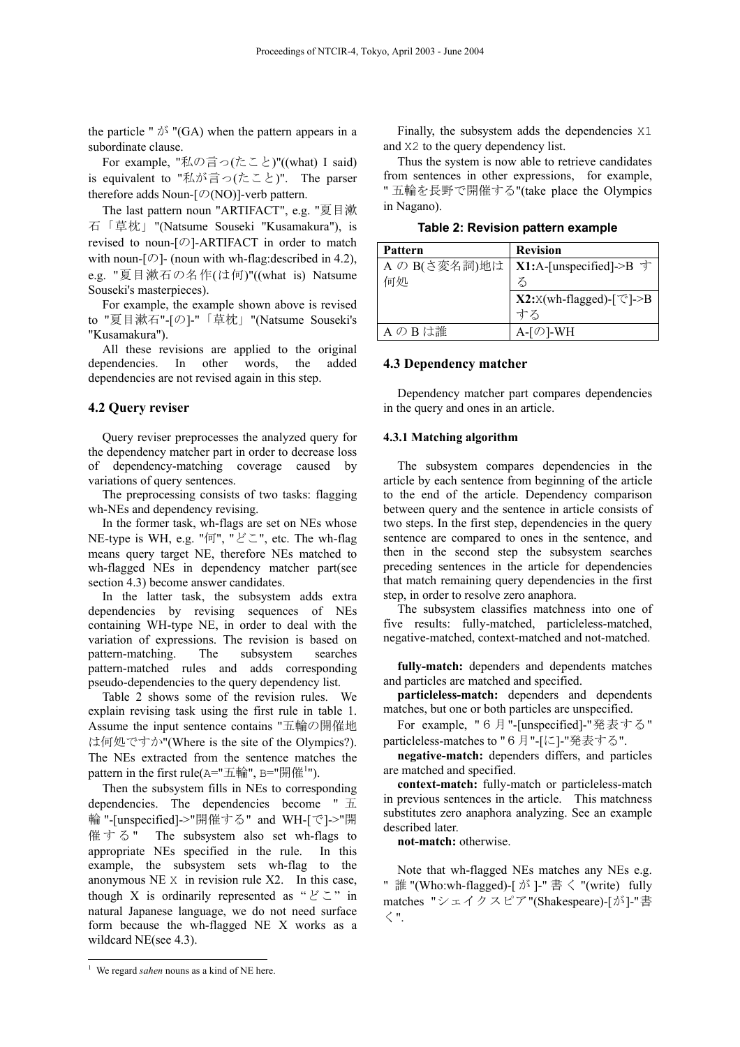the particle "  $\phi^s$  "(GA) when the pattern appears in a subordinate clause.

For example, "私の言っ(たこと)"((what) I said) is equivalent to "私が言っ(たこと)". The parser therefore adds Noun- $[Ø(NO)]$ -verb pattern.

The last pattern noun "ARTIFACT", e.g. "夏目漱 石「草枕」"(Natsume Souseki "Kusamakura"), is revised to noun-[の]-ARTIFACT in order to match with noun- $[*\circ*]$ - (noun with wh-flag: described in 4.2), e.g. "夏目漱石の名作(は何)"((what is) Natsume Souseki's masterpieces).

For example, the example shown above is revised to "夏目漱石"-[の]-"「草枕」"(Natsume Souseki's "Kusamakura").

All these revisions are applied to the original dependencies. In other words, the added dependencies are not revised again in this step.

#### **4.2 Query reviser**

Query reviser preprocesses the analyzed query for the dependency matcher part in order to decrease loss of dependency-matching coverage caused by variations of query sentences.

The preprocessing consists of two tasks: flagging wh-NEs and dependency revising.

In the former task, wh-flags are set on NEs whose NE-type is WH, e.g. "何", "どこ", etc. The wh-flag means query target NE, therefore NEs matched to wh-flagged NEs in dependency matcher part(see section 4.3) become answer candidates.

In the latter task, the subsystem adds extra dependencies by revising sequences of NEs containing WH-type NE, in order to deal with the variation of expressions. The revision is based on pattern-matching. The subsystem searches pattern-matched rules and adds corresponding pseudo-dependencies to the query dependency list.

[Table 2](#page-2-0) shows some of the revision rules. We explain revising task using the first rule in table 1. Assume the input sentence contains "五輪の開催地 は何処ですか"(Where is the site of the Olympics?). The NEs extracted from the sentence matches the pattern in the first rule( $A = "E$ 輪",  $B = "H#^1"$  $B = "H#^1"$  $B = "H#^1"$ ).

Then the subsystem fills in NEs to corresponding dependencies. The dependencies become " 五 輪 "-[unspecified]->"開催する" and WH-[で]->"開 催する " The subsystem also set wh-flags to appropriate NEs specified in the rule. In this example, the subsystem sets wh-flag to the anonymous NE X in revision rule X2. In this case, though X is ordinarily represented as " $\geq$ " in natural Japanese language, we do not need surface form because the wh-flagged NE X works as a wildcard NE(see 4.3).

Finally, the subsystem adds the dependencies X1 and X2 to the query dependency list.

Thus the system is now able to retrieve candidates from sentences in other expressions, for example, " 五輪を長野で開催する"(take place the Olympics in Nagano).

<span id="page-2-0"></span>**Table 2: Revision pattern example** 

| Pattern       | <b>Revision</b>                      |
|---------------|--------------------------------------|
| A の B(さ変名詞)地は | X1:A-[unspecified]->B す              |
| 何処            | る                                    |
|               | $X2:$ X(wh-flagged)-[ $\degree$ ]->B |
|               | すろ                                   |
| AのBは誰         | A-「の1-WH                             |

#### **4.3 Dependency matcher**

Dependency matcher part compares dependencies in the query and ones in an article.

#### **4.3.1 Matching algorithm**

The subsystem compares dependencies in the article by each sentence from beginning of the article to the end of the article. Dependency comparison between query and the sentence in article consists of two steps. In the first step, dependencies in the query sentence are compared to ones in the sentence, and then in the second step the subsystem searches preceding sentences in the article for dependencies that match remaining query dependencies in the first step, in order to resolve zero anaphora.

The subsystem classifies matchness into one of five results: fully-matched, particleless-matched, negative-matched, context-matched and not-matched.

**fully-match:** dependers and dependents matches and particles are matched and specified.

**particleless-match:** dependers and dependents matches, but one or both particles are unspecified.

For example, "6月"-[unspecified]-"発表する" particleless-matches to "6月"-[に]-"発表する".

**negative-match:** dependers differs, and particles are matched and specified.

**context-match:** fully-match or particleless-match in previous sentences in the article. This matchness substitutes zero anaphora analyzing. See an example described later.

**not-match:** otherwise.

Note that wh-flagged NEs matches any NEs e.g. " 誰 "(Who:wh-flagged)-[ $\beta$ <sup>3</sup> ]-" 書  $\leq$  "(write) fully matches "シェイクスピア"(Shakespeare)-[が]-"書 く".

<span id="page-2-1"></span><sup>&</sup>lt;sup>1</sup> We regard *sahen* nouns as a kind of NE here.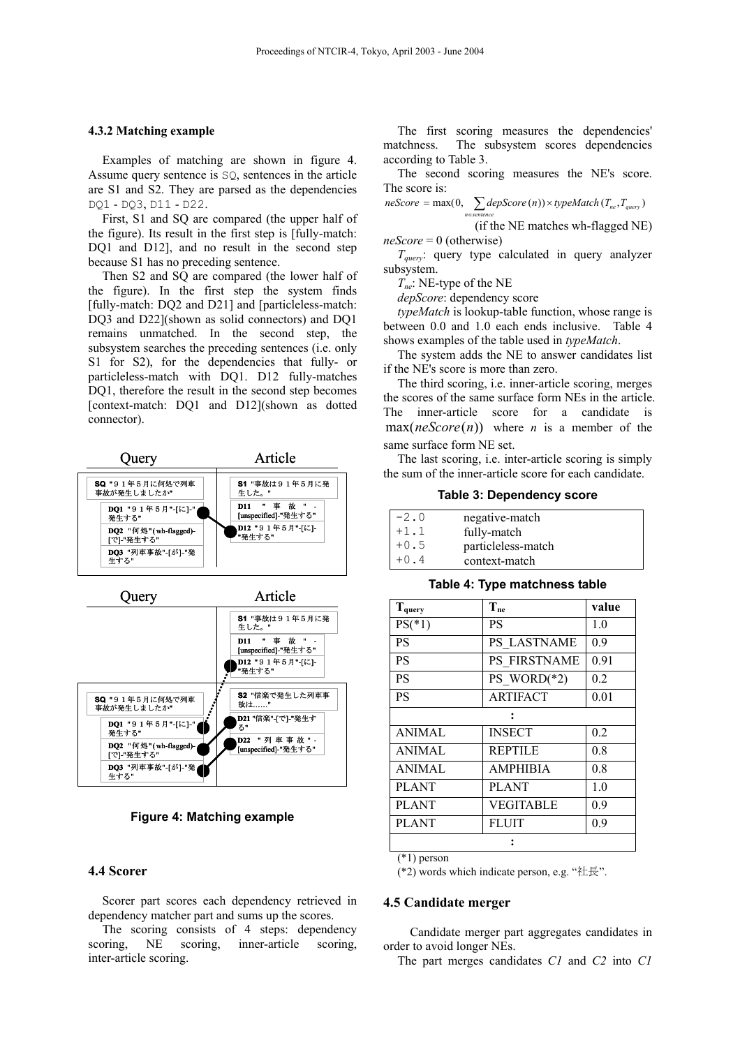#### **4.3.2 Matching example**

Examples of matching are shown in figure 4. Assume query sentence is SQ, sentences in the article are S1 and S2. They are parsed as the dependencies DQ1 - DQ3, D11 - D22.

First, S1 and SQ are compared (the upper half of the figure). Its result in the first step is [fully-match: DQ1 and D12], and no result in the second step because S1 has no preceding sentence.

Then S2 and SQ are compared (the lower half of the figure). In the first step the system finds [fully-match: DQ2 and D21] and [particleless-match: DQ3 and D22](shown as solid connectors) and DQ1 remains unmatched. In the second step, the subsystem searches the preceding sentences (i.e. only S1 for S2), for the dependencies that fully- or particleless-match with DQ1. D12 fully-matches DO1, therefore the result in the second step becomes [context-match: DQ1 and D12](shown as dotted connector).



**Figure 4: Matching example** 

# **4.4 Scorer**

Scorer part scores each dependency retrieved in dependency matcher part and sums up the scores.

The scoring consists of 4 steps: dependency scoring, NE scoring, inner-article scoring, inter-article scoring.

The first scoring measures the dependencies' matchness. The subsystem scores dependencies according to [Table 3.](#page-3-0)

The second scoring measures the NE's score. The score is:

$$
neScore = \max(0, \sum_{n \in sentence} \text{depScore}(n)) \times \text{typeMatch}(T_{ne}, T_{query})
$$

(if the NE matches wh-flagged NE) *neScore* = 0 (otherwise)

*Tquery*: query type calculated in query analyzer subsystem.

*Tne*: NE-type of the NE

*depScore*: dependency score

*typeMatch* is lookup-table function, whose range is between 0.0 and 1.0 each ends inclusive. Table 4 shows examples of the table used in *typeMatch*.

The system adds the NE to answer candidates list if the NE's score is more than zero.

The third scoring, i.e. inner-article scoring, merges the scores of the same surface form NEs in the article. The inner-article score for a candidate is  $max(neScore(n))$  where *n* is a member of the same surface form NE set.

The last scoring, i.e. inter-article scoring is simply the sum of the inner-article score for each candidate.

<span id="page-3-0"></span>**Table 3: Dependency score** 

| $-2.0$ | negative-match     |
|--------|--------------------|
| $+1.1$ | fully-match        |
| $+0.5$ | particleless-match |
| $+0.4$ | context-match      |

**Table 4: Type matchness table** 

| $T_{query}$   | $T_{ne}$        | value |
|---------------|-----------------|-------|
| $PS(*1)$      | PS              | 1.0   |
| <b>PS</b>     | PS LASTNAME     | 0.9   |
| <b>PS</b>     | PS FIRSTNAME    | 0.91  |
| <b>PS</b>     | PS WORD $(*2)$  | 0.2   |
| <b>PS</b>     | <b>ARTIFACT</b> | 0.01  |
|               |                 |       |
| <b>ANIMAL</b> | <b>INSECT</b>   | 0.2   |
| ANIMAL        | <b>REPTILE</b>  | 0.8   |
| <b>ANIMAL</b> | <b>AMPHIBIA</b> | 0.8   |
| <b>PLANT</b>  | <b>PLANT</b>    | 1.0   |
| <b>PLANT</b>  | VEGITABLE       | 0.9   |
| <b>PLANT</b>  | FLUIT           | 0.9   |
|               |                 |       |

(\*1) person

(\*2) words which indicate person, e.g. "社長".

#### **4.5 Candidate merger**

Candidate merger part aggregates candidates in order to avoid longer NEs.

The part merges candidates *C1* and *C2* into *C1*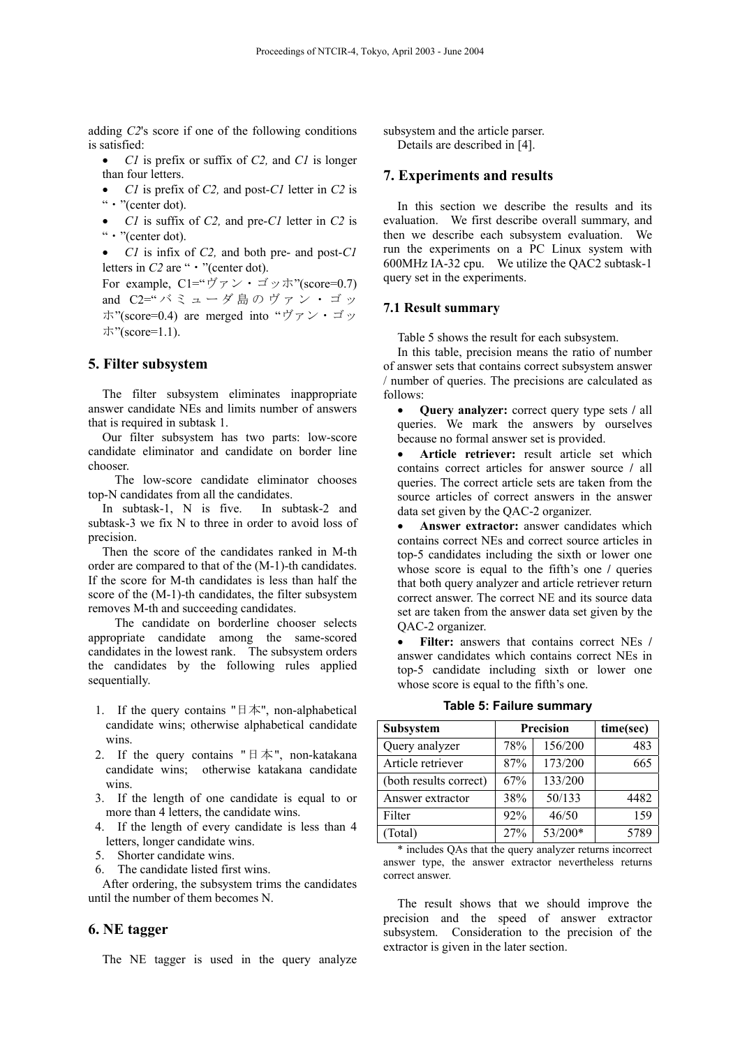adding *C2*'s score if one of the following conditions is satisfied:

- *C1* is prefix or suffix of *C2,* and *C1* is longer than four letters.
- *C1* is prefix of *C2,* and post-*C1* letter in *C2* is "・"(center dot).
- *C1* is suffix of *C2,* and pre-*C1* letter in *C2* is "・"(center dot).
- *C1* is infix of *C2,* and both pre- and post-*C1*  letters in *C2* are " • "(center dot).

For example,  $Cl = "Y \rightarrow Y \cdot \vec{y} \rightarrow \vec{y}$ "(score=0.7) and C2=" バミューダ島のヴァン・ゴッ ホ"(score=0.4) are merged into "ヴァン・ゴッ ホ"(score=1.1).

# **5. Filter subsystem**

The filter subsystem eliminates inappropriate answer candidate NEs and limits number of answers that is required in subtask 1.

Our filter subsystem has two parts: low-score candidate eliminator and candidate on border line chooser.

 The low-score candidate eliminator chooses top-N candidates from all the candidates.

In subtask-1, N is five. In subtask-2 and subtask-3 we fix N to three in order to avoid loss of precision.

Then the score of the candidates ranked in M-th order are compared to that of the (M-1)-th candidates. If the score for M-th candidates is less than half the score of the (M-1)-th candidates, the filter subsystem removes M-th and succeeding candidates.

 The candidate on borderline chooser selects appropriate candidate among the same-scored candidates in the lowest rank. The subsystem orders the candidates by the following rules applied sequentially.

- 1. If the query contains " $\exists \neq$ ", non-alphabetical candidate wins; otherwise alphabetical candidate wins.
- 2. If the query contains " $\exists \neq$ ", non-katakana candidate wins; otherwise katakana candidate wins.
- 3. If the length of one candidate is equal to or more than 4 letters, the candidate wins.
- 4. If the length of every candidate is less than 4 letters, longer candidate wins.
- 5. Shorter candidate wins.
- 6. The candidate listed first wins.

After ordering, the subsystem trims the candidates until the number of them becomes N.

# **6. NE tagger**

The NE tagger is used in the query analyze

subsystem and the article parser. Details are described in [\[4\].](#page-6-3)

### **7. Experiments and results**

In this section we describe the results and its evaluation. We first describe overall summary, and then we describe each subsystem evaluation. We run the experiments on a PC Linux system with 600MHz IA-32 cpu. We utilize the QAC2 subtask-1 query set in the experiments.

# **7.1 Result summary**

[Table 5](#page-4-0) shows the result for each subsystem.

In this table, precision means the ratio of number of answer sets that contains correct subsystem answer / number of queries. The precisions are calculated as follows:

- **Query analyzer:** correct query type sets **/** all queries. We mark the answers by ourselves because no formal answer set is provided.
- **Article retriever:** result article set which contains correct articles for answer source **/** all queries. The correct article sets are taken from the source articles of correct answers in the answer data set given by the QAC-2 organizer.

• **Answer extractor:** answer candidates which contains correct NEs and correct source articles in top-5 candidates including the sixth or lower one whose score is equal to the fifth's one **/** queries that both query analyzer and article retriever return correct answer. The correct NE and its source data set are taken from the answer data set given by the QAC-2 organizer.

• **Filter:** answers that contains correct NEs **/** answer candidates which contains correct NEs in top-5 candidate including sixth or lower one whose score is equal to the fifth's one.

| Subsystem              |     | Precision | time(sec) |
|------------------------|-----|-----------|-----------|
| Query analyzer         | 78% | 156/200   | 483       |
| Article retriever      | 87% | 173/200   | 665       |
| (both results correct) | 67% | 133/200   |           |
| Answer extractor       | 38% | 50/133    | 4482      |
| Filter                 | 92% | 46/50     | 159       |
| (Total)                | 27% | 53/200*   | 5789      |

<span id="page-4-0"></span>**Table 5: Failure summary** 

\* includes QAs that the query analyzer returns incorrect answer type, the answer extractor nevertheless returns correct answer.

The result shows that we should improve the precision and the speed of answer extractor subsystem. Consideration to the precision of the extractor is given in the later section.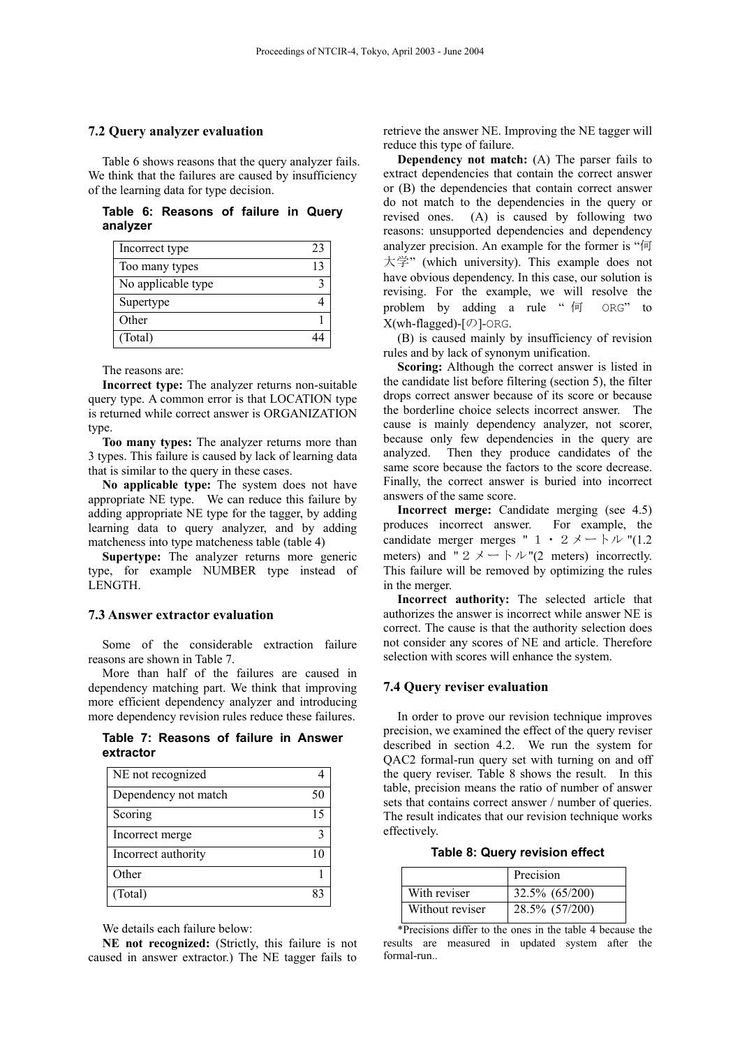#### **7.2 Query analyzer evaluation**

[Table 6](#page-5-0) shows reasons that the query analyzer fails. We think that the failures are caused by insufficiency of the learning data for type decision.

<span id="page-5-0"></span>**Table 6: Reasons of failure in Query analyzer** 

| Incorrect type     | 23 |
|--------------------|----|
| Too many types     |    |
| No applicable type |    |
| Supertype          |    |
| Other              |    |
| (Total)            |    |

The reasons are:

**Incorrect type:** The analyzer returns non-suitable query type. A common error is that LOCATION type is returned while correct answer is ORGANIZATION type.

**Too many types:** The analyzer returns more than 3 types. This failure is caused by lack of learning data that is similar to the query in these cases.

**No applicable type:** The system does not have appropriate NE type. We can reduce this failure by adding appropriate NE type for the tagger, by adding learning data to query analyzer, and by adding matcheness into type matcheness table (table 4)

**Supertype:** The analyzer returns more generic type, for example NUMBER type instead of LENGTH.

# **7.3 Answer extractor evaluation**

Some of the considerable extraction failure reasons are shown in [Table 7.](#page-5-1)

More than half of the failures are caused in dependency matching part. We think that improving more efficient dependency analyzer and introducing more dependency revision rules reduce these failures.

<span id="page-5-1"></span>**Table 7: Reasons of failure in Answer extractor** 

| NE not recognized    |    |
|----------------------|----|
| Dependency not match | 50 |
| Scoring              | 15 |
| Incorrect merge      |    |
| Incorrect authority  |    |
| Other                |    |
| (Total)              |    |

We details each failure below:

**NE not recognized:** (Strictly, this failure is not caused in answer extractor.) The NE tagger fails to

retrieve the answer NE. Improving the NE tagger will reduce this type of failure.

**Dependency not match:** (A) The parser fails to extract dependencies that contain the correct answer or (B) the dependencies that contain correct answer do not match to the dependencies in the query or revised ones. (A) is caused by following two reasons: unsupported dependencies and dependency analyzer precision. An example for the former is "何 大学" (which university). This example does not have obvious dependency. In this case, our solution is revising. For the example, we will resolve the problem by adding a rule "何 ORG" to  $X(\text{wh-flagged})$ - $[\emptyset]$ -ORG.

(B) is caused mainly by insufficiency of revision rules and by lack of synonym unification.

**Scoring:** Although the correct answer is listed in the candidate list before filtering (section 5), the filter drops correct answer because of its score or because the borderline choice selects incorrect answer. The cause is mainly dependency analyzer, not scorer, because only few dependencies in the query are analyzed. Then they produce candidates of the same score because the factors to the score decrease. Finally, the correct answer is buried into incorrect answers of the same score.

**Incorrect merge:** Candidate merging (see 4.5) produces incorrect answer. For example, the candidate merger merges "  $1 \cdot 2 \times - 1 \cdot \nu$  "(1.2) meters) and "2  $\times$  -  $\triangleright$   $\forall$  "(2 meters) incorrectly. This failure will be removed by optimizing the rules in the merger.

**Incorrect authority:** The selected article that authorizes the answer is incorrect while answer NE is correct. The cause is that the authority selection does not consider any scores of NE and article. Therefore selection with scores will enhance the system.

#### **7.4 Query reviser evaluation**

In order to prove our revision technique improves precision, we examined the effect of the query reviser described in section 4.2. We run the system for QAC2 formal-run query set with turning on and off the query reviser. [Table 8](#page-5-2) shows the result. In this table, precision means the ratio of number of answer sets that contains correct answer / number of queries. The result indicates that our revision technique works effectively.

<span id="page-5-2"></span>**Table 8: Query revision effect** 

|                 | Precision      |
|-----------------|----------------|
| With reviser    | 32.5% (65/200) |
| Without reviser | 28.5% (57/200) |

\*Precisions differ to the ones in the table 4 because the results are measured in updated system after the formal-run..